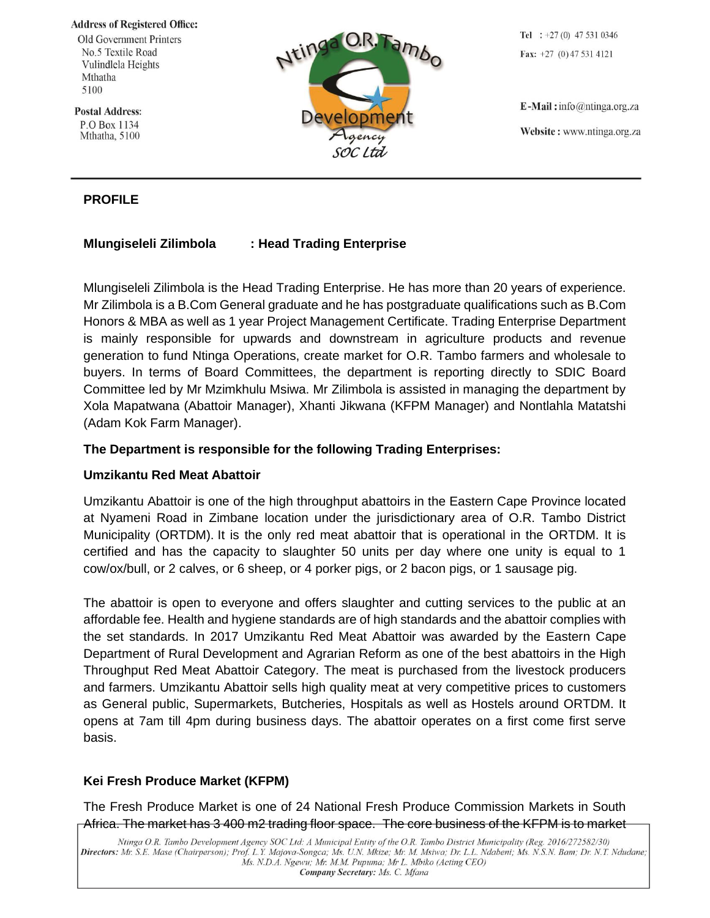**Address of Registered Office:** 

**Old Government Printers** No.5 Textile Road Vulindlela Heights Mthatha 5100

**Postal Address:** P.O Box 1134 Mthatha, 5100

# **PROFILE**

# **Mlungiseleli Zilimbola : Head Trading Enterprise**

Mlungiseleli Zilimbola is the Head Trading Enterprise. He has more than 20 years of experience. Mr Zilimbola is a B.Com General graduate and he has postgraduate qualifications such as B.Com Honors & MBA as well as 1 year Project Management Certificate. Trading Enterprise Department is mainly responsible for upwards and downstream in agriculture products and revenue generation to fund Ntinga Operations, create market for O.R. Tambo farmers and wholesale to buyers. In terms of Board Committees, the department is reporting directly to SDIC Board Committee led by Mr Mzimkhulu Msiwa. Mr Zilimbola is assisted in managing the department by Xola Mapatwana (Abattoir Manager), Xhanti Jikwana (KFPM Manager) and Nontlahla Matatshi (Adam Kok Farm Manager).

## **The Department is responsible for the following Trading Enterprises:**

### **Umzikantu Red Meat Abattoir**

Umzikantu Abattoir is one of the high throughput abattoirs in the Eastern Cape Province located at Nyameni Road in Zimbane location under the jurisdictionary area of O.R. Tambo District Municipality (ORTDM). It is the only red meat abattoir that is operational in the ORTDM. It is certified and has the capacity to slaughter 50 units per day where one unity is equal to 1 cow/ox/bull, or 2 calves, or 6 sheep, or 4 porker pigs, or 2 bacon pigs, or 1 sausage pig.

The abattoir is open to everyone and offers slaughter and cutting services to the public at an affordable fee. Health and hygiene standards are of high standards and the abattoir complies with the set standards. In 2017 Umzikantu Red Meat Abattoir was awarded by the Eastern Cape Department of Rural Development and Agrarian Reform as one of the best abattoirs in the High Throughput Red Meat Abattoir Category. The meat is purchased from the livestock producers and farmers. Umzikantu Abattoir sells high quality meat at very competitive prices to customers as General public, Supermarkets, Butcheries, Hospitals as well as Hostels around ORTDM. It opens at 7am till 4pm during business days. The abattoir operates on a first come first serve basis.

# **Kei Fresh Produce Market (KFPM)**

The Fresh Produce Market is one of 24 National Fresh Produce Commission Markets in South Africa. The market has 3 400 m2 trading floor space. The core business of the KFPM is to market

Tel :  $+27(0)$  47 531 0346 Fax:  $+27$  (0) 47 531 4121

 $E$ -Mail: info@ntinga.org.za Website: www.ntinga.org.za